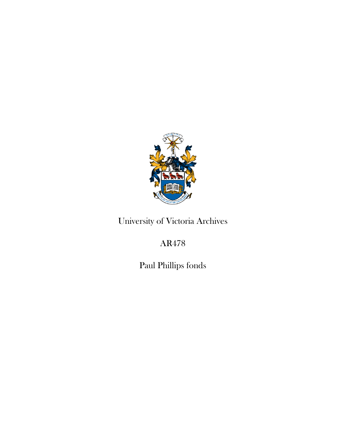

# University of Victoria Archives

# AR478

Paul Phillips fonds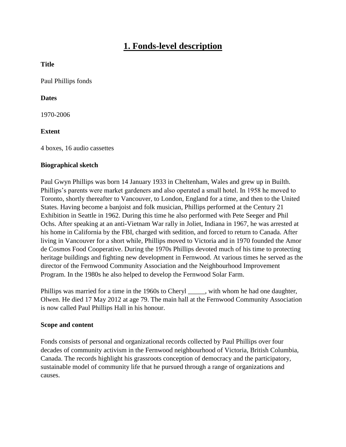# **1. Fonds-level description**

### **Title**

Paul Phillips fonds

### **Dates**

1970-2006

# **Extent**

4 boxes, 16 audio cassettes

### **Biographical sketch**

Paul Gwyn Phillips was born 14 January 1933 in Cheltenham, Wales and grew up in Builth. Phillips's parents were market gardeners and also operated a small hotel. In 1958 he moved to Toronto, shortly thereafter to Vancouver, to London, England for a time, and then to the United States. Having become a banjoist and folk musician, Phillips performed at the Century 21 Exhibition in Seattle in 1962. During this time he also performed with Pete Seeger and Phil Ochs. After speaking at an anti-Vietnam War rally in Joliet, Indiana in 1967, he was arrested at his home in California by the FBI, charged with sedition, and forced to return to Canada. After living in Vancouver for a short while, Phillips moved to Victoria and in 1970 founded the Amor de Cosmos Food Cooperative. During the 1970s Phillips devoted much of his time to protecting heritage buildings and fighting new development in Fernwood. At various times he served as the director of the Fernwood Community Association and the Neighbourhood Improvement Program. In the 1980s he also helped to develop the Fernwood Solar Farm.

Phillips was married for a time in the 1960s to Cheryl \_\_\_\_\_, with whom he had one daughter, Olwen. He died 17 May 2012 at age 79. The main hall at the Fernwood Community Association is now called Paul Phillips Hall in his honour.

#### **Scope and content**

Fonds consists of personal and organizational records collected by Paul Phillips over four decades of community activism in the Fernwood neighbourhood of Victoria, British Columbia, Canada. The records highlight his grassroots conception of democracy and the participatory, sustainable model of community life that he pursued through a range of organizations and causes.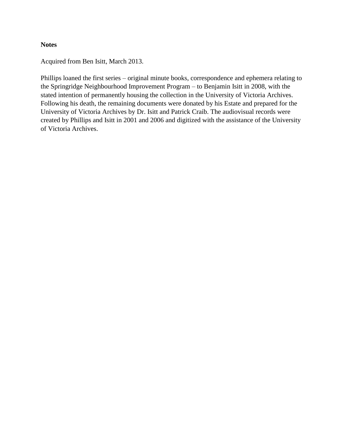#### **Notes**

Acquired from Ben Isitt, March 2013.

Phillips loaned the first series – original minute books, correspondence and ephemera relating to the Springridge Neighbourhood Improvement Program – to Benjamin Isitt in 2008, with the stated intention of permanently housing the collection in the University of Victoria Archives. Following his death, the remaining documents were donated by his Estate and prepared for the University of Victoria Archives by Dr. Isitt and Patrick Craib. The audiovisual records were created by Phillips and Isitt in 2001 and 2006 and digitized with the assistance of the University of Victoria Archives.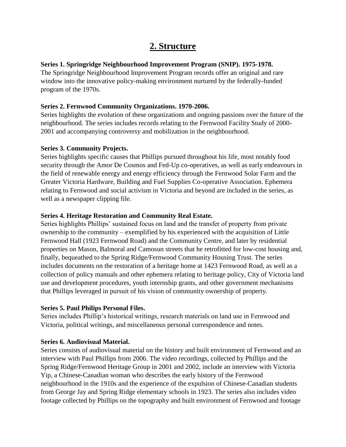# **2. Structure**

# **Series 1. Springridge Neighbourhood Improvement Program (SNIP). 1975-1978.**

The Springridge Neighbourhood Improvement Program records offer an original and rare window into the innovative policy-making environment nurtured by the federally-funded program of the 1970s.

# **Series 2. Fernwood Community Organizations. 1970-2006.**

Series highlights the evolution of these organizations and ongoing passions over the future of the neighbourhood. The series includes records relating to the Fernwood Facility Study of 2000- 2001 and accompanying controversy and mobilization in the neighbourhood.

# **Series 3. Community Projects.**

Series highlights specific causes that Phillips pursued throughout his life, most notably food security through the Amor De Cosmos and Fed-Up co-operatives, as well as early endeavours in the field of renewable energy and energy efficiency through the Fernwood Solar Farm and the Greater Victoria Hardware, Building and Fuel Supplies Co-operative Association. Ephemera relating to Fernwood and social activism in Victoria and beyond are included in the series, as well as a newspaper clipping file.

# **Series 4. Heritage Restoration and Community Real Estate.**

Series highlights Phillips' sustained focus on land and the transfer of property from private ownership to the community – exemplified by his experienced with the acquisition of Little Fernwood Hall (1923 Fernwood Road) and the Community Centre, and later by residential properties on Mason, Balmoral and Camosun streets that he retrofitted for low-cost housing and, finally, bequeathed to the Spring Ridge/Fernwood Community Housing Trust. The series includes documents on the restoration of a heritage home at 1423 Fernwood Road, as well as a collection of policy manuals and other ephemera relating to heritage policy, City of Victoria land use and development procedures, youth internship grants, and other government mechanisms that Phillips leveraged in pursuit of his vision of community ownership of property.

# **Series 5. Paul Philips Personal Files.**

Series includes Phillip's historical writings, research materials on land use in Fernwood and Victoria, political writings, and miscellaneous personal correspondence and notes.

# **Series 6. Audiovisual Material.**

Series consists of audiovisual material on the history and built environment of Fernwood and an interview with Paul Phillips from 2006. The video recordings, collected by Phillips and the Spring Ridge/Fernwood Heritage Group in 2001 and 2002, include an interview with Victoria Yip, a Chinese-Canadian woman who describes the early history of the Fernwood neighbourhood in the 1910s and the experience of the expulsion of Chinese-Canadian students from George Jay and Spring Ridge elementary schools in 1923. The series also includes video footage collected by Phillips on the topography and built environment of Fernwood and footage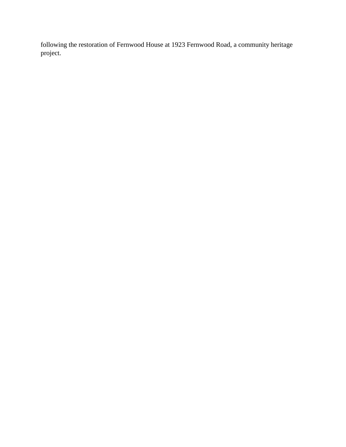following the restoration of Fernwood House at 1923 Fernwood Road, a community heritage project.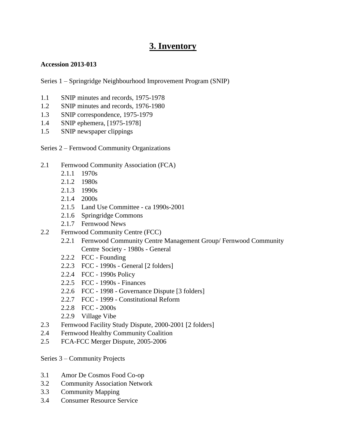# **3. Inventory**

### **Accession 2013-013**

Series 1 – Springridge Neighbourhood Improvement Program (SNIP)

- 1.1 SNIP minutes and records, 1975-1978
- 1.2 SNIP minutes and records, 1976-1980
- 1.3 SNIP correspondence, 1975-1979
- 1.4 SNIP ephemera, [1975-1978]
- 1.5 SNIP newspaper clippings

Series 2 – Fernwood Community Organizations

- 2.1 Fernwood Community Association (FCA)
	- 2.1.1 1970s
	- 2.1.2 1980s
	- 2.1.3 1990s
	- 2.1.4 2000s
	- 2.1.5 Land Use Committee ca 1990s-2001
	- 2.1.6 Springridge Commons
	- 2.1.7 Fernwood News
- 2.2 Fernwood Community Centre (FCC)
	- 2.2.1 Fernwood Community Centre Management Group/ Fernwood Community Centre Society - 1980s - General
	- 2.2.2 FCC Founding
	- 2.2.3 FCC 1990s General [2 folders]
	- 2.2.4 FCC 1990s Policy
	- 2.2.5 FCC 1990s Finances
	- 2.2.6 FCC 1998 Governance Dispute [3 folders]
	- 2.2.7 FCC 1999 Constitutional Reform
	- 2.2.8 FCC 2000s
	- 2.2.9 Village Vibe
- 2.3 Fernwood Facility Study Dispute, 2000-2001 [2 folders]
- 2.4 Fernwood Healthy Community Coalition
- 2.5 FCA-FCC Merger Dispute, 2005-2006

Series 3 – Community Projects

- 3.1 Amor De Cosmos Food Co-op
- 3.2 Community Association Network
- 3.3 Community Mapping
- 3.4 Consumer Resource Service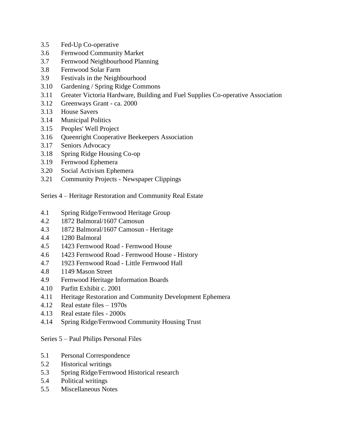- 3.5 Fed-Up Co-operative
- 3.6 Fernwood Community Market
- 3.7 Fernwood Neighbourhood Planning
- 3.8 Fernwood Solar Farm
- 3.9 Festivals in the Neighbourhood
- 3.10 Gardening / Spring Ridge Commons
- 3.11 Greater Victoria Hardware, Building and Fuel Supplies Co-operative Association
- 3.12 Greenways Grant ca. 2000
- 3.13 House Savers
- 3.14 Municipal Politics
- 3.15 Peoples' Well Project
- 3.16 Queenright Cooperative Beekeepers Association
- 3.17 Seniors Advocacy
- 3.18 Spring Ridge Housing Co-op
- 3.19 Fernwood Ephemera
- 3.20 Social Activism Ephemera
- 3.21 Community Projects Newspaper Clippings

Series 4 – Heritage Restoration and Community Real Estate

- 4.1 Spring Ridge/Fernwood Heritage Group
- 4.2 1872 Balmoral/1607 Camosun
- 4.3 1872 Balmoral/1607 Camosun Heritage
- 4.4 1280 Balmoral
- 4.5 1423 Fernwood Road Fernwood House
- 4.6 1423 Fernwood Road Fernwood House History
- 4.7 1923 Fernwood Road Little Fernwood Hall
- 4.8 1149 Mason Street
- 4.9 Fernwood Heritage Information Boards
- 4.10 Parfitt Exhibit c. 2001
- 4.11 Heritage Restoration and Community Development Ephemera
- 4.12 Real estate files 1970s
- 4.13 Real estate files 2000s
- 4.14 Spring Ridge/Fernwood Community Housing Trust

# Series 5 – Paul Philips Personal Files

- 5.1 Personal Correspondence
- 5.2 Historical writings
- 5.3 Spring Ridge/Fernwood Historical research
- 5.4 Political writings
- 5.5 Miscellaneous Notes